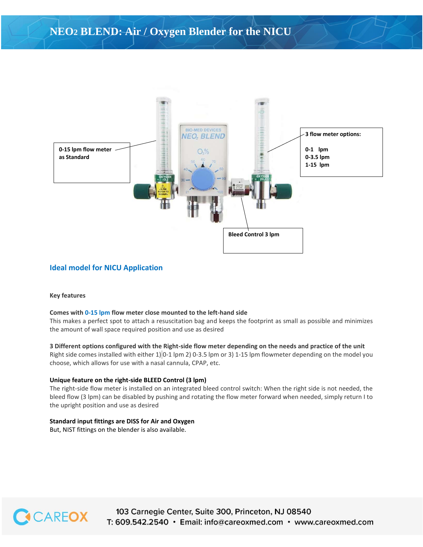

## **Ideal model for NICU Application**

#### **Key features**

#### **Comes with 0-15 lpm flow meter close mounted to the left-hand side**

This makes a perfect spot to attach a resuscitation bag and keeps the footprint as small as possible and minimizes the amount of wall space required position and use as desired

### **3 Different options configured with the Right-side flow meter depending on the needs and practice of the unit**

Right side comes installed with either 1) 0-1 lpm 2) 0-3.5 lpm or 3) 1-15 lpm flowmeter depending on the model you choose, which allows for use with a nasal cannula, CPAP, etc.

#### **Unique feature on the right-side BLEED Control (3 lpm)**

The right-side flow meter is installed on an integrated bleed control switch: When the right side is not needed, the bleed flow (3 lpm) can be disabled by pushing and rotating the flow meter forward when needed, simply return I to the upright position and use as desired

### **Standard input fittings are DISS for Air and Oxygen**

But, NIST fittings on the blender is also available.